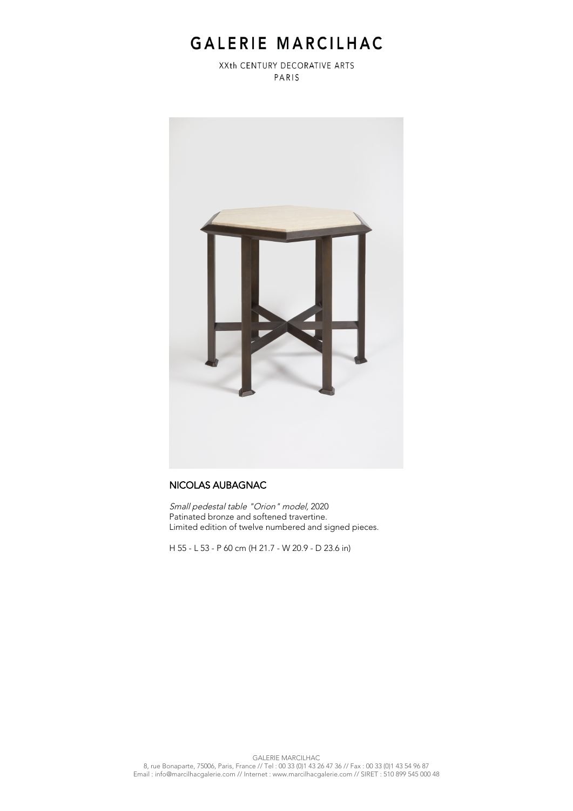## GALERIE MARCILHAC

XXth CENTURY DECORATIVE ARTS PARIS



## NICOLAS AUBAGNAC

Small pedestal table "Orion" model, 2020 Patinated bronze and softened travertine. Limited edition of twelve numbered and signed pieces.

H 55 - L 53 - P 60 cm (H 21.7 - W 20.9 - D 23.6 in)